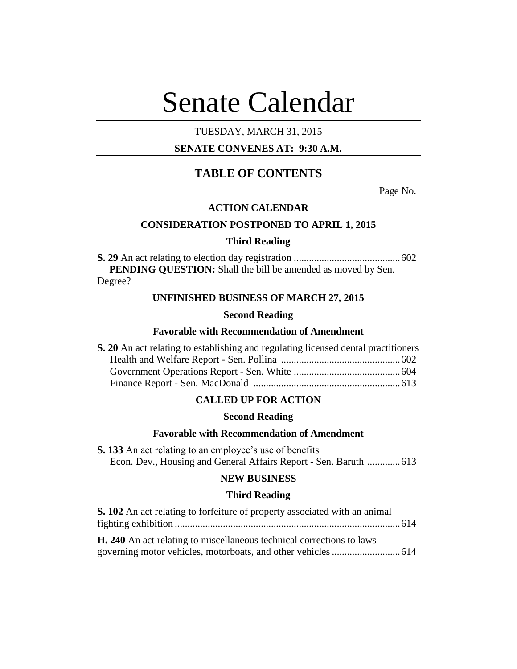# Senate Calendar

# TUESDAY, MARCH 31, 2015

# **SENATE CONVENES AT: 9:30 A.M.**

# **TABLE OF CONTENTS**

Page No.

## **ACTION CALENDAR**

# **CONSIDERATION POSTPONED TO APRIL 1, 2015**

## **Third Reading**

**S. 29** An act relating to election day registration ..........................................602 **PENDING QUESTION:** Shall the bill be amended as moved by Sen. Degree?

## **UNFINISHED BUSINESS OF MARCH 27, 2015**

#### **Second Reading**

## **Favorable with Recommendation of Amendment**

| S. 20 An act relating to establishing and regulating licensed dental practitioners |  |
|------------------------------------------------------------------------------------|--|
|                                                                                    |  |
|                                                                                    |  |
|                                                                                    |  |

# **CALLED UP FOR ACTION**

#### **Second Reading**

## **Favorable with Recommendation of Amendment**

**S. 133** An act relating to an employee's use of benefits Econ. Dev., Housing and General Affairs Report - Sen. Baruth .............613

# **NEW BUSINESS**

#### **Third Reading**

| S. 102 An act relating to forfeiture of property associated with an animal |  |
|----------------------------------------------------------------------------|--|
|                                                                            |  |
| H. 240 An act relating to miscellaneous technical corrections to laws      |  |
|                                                                            |  |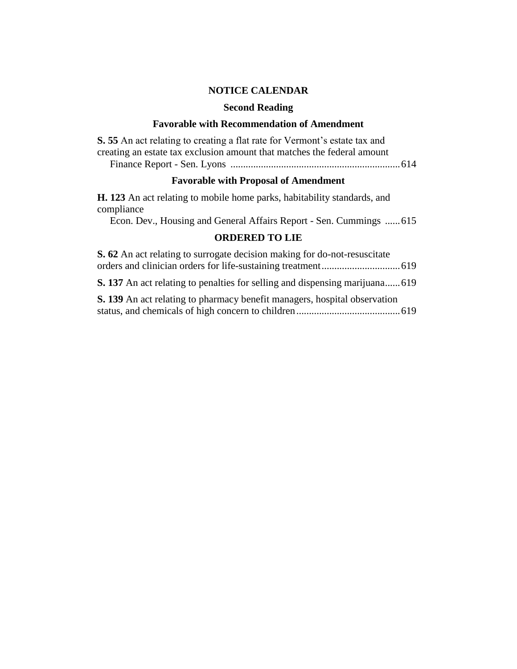# **NOTICE CALENDAR**

# **Second Reading**

# **Favorable with Recommendation of Amendment**

| S. 55 An act relating to creating a flat rate for Vermont's estate tax and<br>creating an estate tax exclusion amount that matches the federal amount |  |
|-------------------------------------------------------------------------------------------------------------------------------------------------------|--|
| <b>Favorable with Proposal of Amendment</b>                                                                                                           |  |
| <b>H.</b> 123 An act relating to mobile home parks, habitability standards, and<br>compliance                                                         |  |
| Econ. Dev., Housing and General Affairs Report - Sen. Cummings  615                                                                                   |  |
| <b>ORDERED TO LIE</b>                                                                                                                                 |  |
| $\Omega$ (a) $\Lambda$ is a standard in the comment of the distribution of $\Gamma$ is a distribution of the $\Lambda$                                |  |

| <b>S. 62</b> An act relating to surrogate decision making for do-not-resuscitate    |  |
|-------------------------------------------------------------------------------------|--|
|                                                                                     |  |
| <b>S.</b> 137 An act relating to penalties for selling and dispensing marijuana 619 |  |
| S. 139 An act relating to pharmacy benefit managers, hospital observation           |  |
|                                                                                     |  |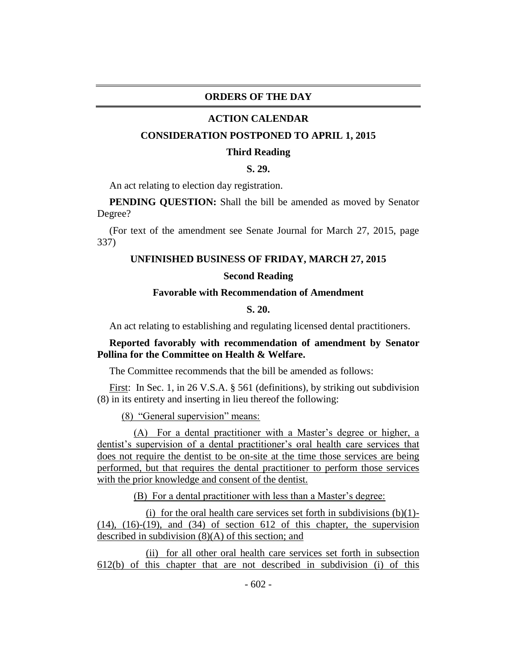## **ORDERS OF THE DAY**

#### **ACTION CALENDAR**

#### **CONSIDERATION POSTPONED TO APRIL 1, 2015**

#### **Third Reading**

# **S. 29.**

An act relating to election day registration.

**PENDING OUESTION:** Shall the bill be amended as moved by Senator Degree?

(For text of the amendment see Senate Journal for March 27, 2015, page 337)

#### **UNFINISHED BUSINESS OF FRIDAY, MARCH 27, 2015**

## **Second Reading**

# **Favorable with Recommendation of Amendment**

## **S. 20.**

An act relating to establishing and regulating licensed dental practitioners.

# **Reported favorably with recommendation of amendment by Senator Pollina for the Committee on Health & Welfare.**

The Committee recommends that the bill be amended as follows:

First: In Sec. 1, in 26 V.S.A. § 561 (definitions), by striking out subdivision (8) in its entirety and inserting in lieu thereof the following:

(8) "General supervision" means:

(A) For a dental practitioner with a Master's degree or higher, a dentist's supervision of a dental practitioner's oral health care services that does not require the dentist to be on-site at the time those services are being performed, but that requires the dental practitioner to perform those services with the prior knowledge and consent of the dentist.

(B) For a dental practitioner with less than a Master's degree:

(i) for the oral health care services set forth in subdivisions  $(b)(1)$ - $(14)$ ,  $(16)-(19)$ , and  $(34)$  of section 612 of this chapter, the supervision described in subdivision (8)(A) of this section; and

(ii) for all other oral health care services set forth in subsection 612(b) of this chapter that are not described in subdivision (i) of this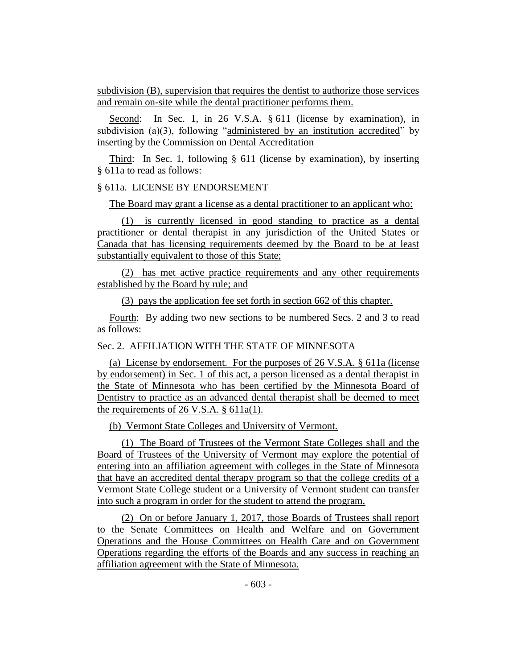subdivision (B), supervision that requires the dentist to authorize those services and remain on-site while the dental practitioner performs them.

Second: In Sec. 1, in 26 V.S.A. § 611 (license by examination), in subdivision (a)(3), following "administered by an institution accredited" by inserting by the Commission on Dental Accreditation

Third: In Sec. 1, following § 611 (license by examination), by inserting § 611a to read as follows:

## § 611a. LICENSE BY ENDORSEMENT

The Board may grant a license as a dental practitioner to an applicant who:

(1) is currently licensed in good standing to practice as a dental practitioner or dental therapist in any jurisdiction of the United States or Canada that has licensing requirements deemed by the Board to be at least substantially equivalent to those of this State;

(2) has met active practice requirements and any other requirements established by the Board by rule; and

(3) pays the application fee set forth in section 662 of this chapter.

Fourth: By adding two new sections to be numbered Secs. 2 and 3 to read as follows:

# Sec. 2. AFFILIATION WITH THE STATE OF MINNESOTA

(a) License by endorsement. For the purposes of 26 V.S.A. § 611a (license by endorsement) in Sec. 1 of this act, a person licensed as a dental therapist in the State of Minnesota who has been certified by the Minnesota Board of Dentistry to practice as an advanced dental therapist shall be deemed to meet the requirements of 26 V.S.A. § 611a(1).

(b) Vermont State Colleges and University of Vermont.

(1) The Board of Trustees of the Vermont State Colleges shall and the Board of Trustees of the University of Vermont may explore the potential of entering into an affiliation agreement with colleges in the State of Minnesota that have an accredited dental therapy program so that the college credits of a Vermont State College student or a University of Vermont student can transfer into such a program in order for the student to attend the program.

(2) On or before January 1, 2017, those Boards of Trustees shall report to the Senate Committees on Health and Welfare and on Government Operations and the House Committees on Health Care and on Government Operations regarding the efforts of the Boards and any success in reaching an affiliation agreement with the State of Minnesota.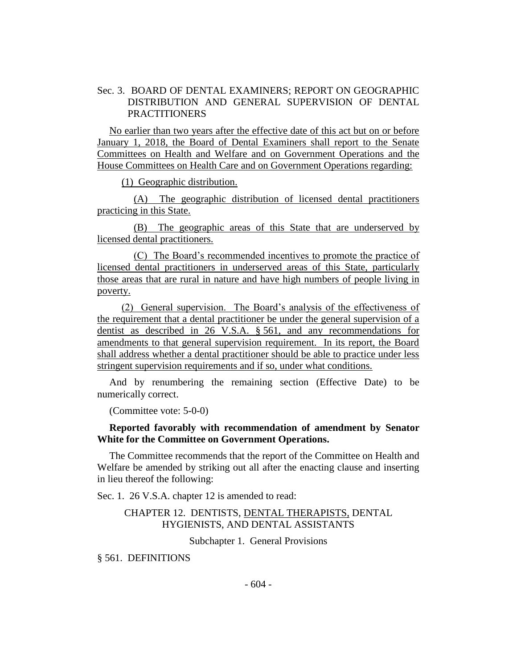# Sec. 3. BOARD OF DENTAL EXAMINERS; REPORT ON GEOGRAPHIC DISTRIBUTION AND GENERAL SUPERVISION OF DENTAL PRACTITIONERS

No earlier than two years after the effective date of this act but on or before January 1, 2018, the Board of Dental Examiners shall report to the Senate Committees on Health and Welfare and on Government Operations and the House Committees on Health Care and on Government Operations regarding:

(1) Geographic distribution.

(A) The geographic distribution of licensed dental practitioners practicing in this State.

(B) The geographic areas of this State that are underserved by licensed dental practitioners.

(C) The Board's recommended incentives to promote the practice of licensed dental practitioners in underserved areas of this State, particularly those areas that are rural in nature and have high numbers of people living in poverty.

(2) General supervision. The Board's analysis of the effectiveness of the requirement that a dental practitioner be under the general supervision of a dentist as described in 26 V.S.A. § 561, and any recommendations for amendments to that general supervision requirement. In its report, the Board shall address whether a dental practitioner should be able to practice under less stringent supervision requirements and if so, under what conditions.

And by renumbering the remaining section (Effective Date) to be numerically correct.

(Committee vote: 5-0-0)

## **Reported favorably with recommendation of amendment by Senator White for the Committee on Government Operations.**

The Committee recommends that the report of the Committee on Health and Welfare be amended by striking out all after the enacting clause and inserting in lieu thereof the following:

Sec. 1. 26 V.S.A. chapter 12 is amended to read:

# CHAPTER 12. DENTISTS, DENTAL THERAPISTS, DENTAL HYGIENISTS, AND DENTAL ASSISTANTS

Subchapter 1. General Provisions

§ 561. DEFINITIONS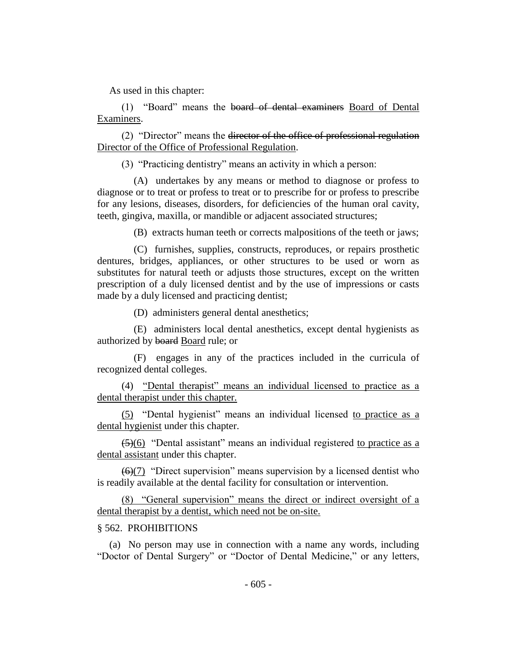As used in this chapter:

(1) "Board" means the board of dental examiners Board of Dental Examiners.

(2) "Director" means the director of the office of professional regulation Director of the Office of Professional Regulation.

(3) "Practicing dentistry" means an activity in which a person:

(A) undertakes by any means or method to diagnose or profess to diagnose or to treat or profess to treat or to prescribe for or profess to prescribe for any lesions, diseases, disorders, for deficiencies of the human oral cavity, teeth, gingiva, maxilla, or mandible or adjacent associated structures;

(B) extracts human teeth or corrects malpositions of the teeth or jaws;

(C) furnishes, supplies, constructs, reproduces, or repairs prosthetic dentures, bridges, appliances, or other structures to be used or worn as substitutes for natural teeth or adjusts those structures, except on the written prescription of a duly licensed dentist and by the use of impressions or casts made by a duly licensed and practicing dentist;

(D) administers general dental anesthetics;

(E) administers local dental anesthetics, except dental hygienists as authorized by board Board rule; or

(F) engages in any of the practices included in the curricula of recognized dental colleges.

(4) "Dental therapist" means an individual licensed to practice as a dental therapist under this chapter.

(5) "Dental hygienist" means an individual licensed to practice as a dental hygienist under this chapter.

 $(5)(6)$  "Dental assistant" means an individual registered to practice as a dental assistant under this chapter.

 $\left(\frac{6}{7}\right)$  "Direct supervision" means supervision by a licensed dentist who is readily available at the dental facility for consultation or intervention.

(8) "General supervision" means the direct or indirect oversight of a dental therapist by a dentist, which need not be on-site.

#### § 562. PROHIBITIONS

(a) No person may use in connection with a name any words, including "Doctor of Dental Surgery" or "Doctor of Dental Medicine," or any letters,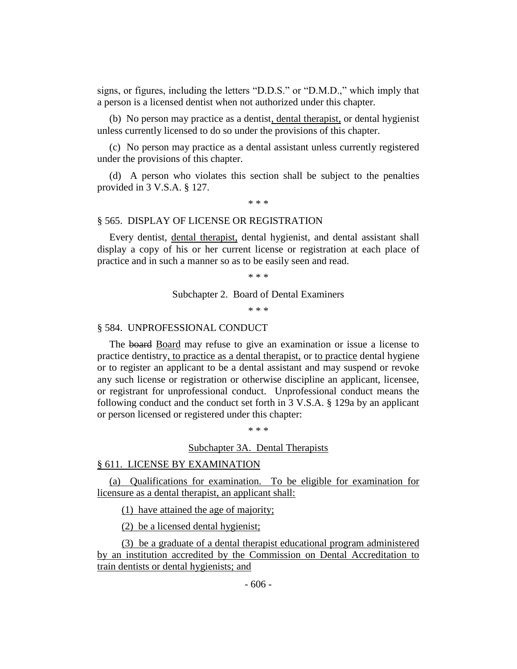signs, or figures, including the letters "D.D.S." or "D.M.D.," which imply that a person is a licensed dentist when not authorized under this chapter.

(b) No person may practice as a dentist, dental therapist, or dental hygienist unless currently licensed to do so under the provisions of this chapter.

(c) No person may practice as a dental assistant unless currently registered under the provisions of this chapter.

(d) A person who violates this section shall be subject to the penalties provided in 3 V.S.A. § 127.

\* \* \*

#### § 565. DISPLAY OF LICENSE OR REGISTRATION

Every dentist, dental therapist, dental hygienist, and dental assistant shall display a copy of his or her current license or registration at each place of practice and in such a manner so as to be easily seen and read.

\* \* \*

Subchapter 2. Board of Dental Examiners

\* \* \*

#### § 584. UNPROFESSIONAL CONDUCT

The board Board may refuse to give an examination or issue a license to practice dentistry, to practice as a dental therapist, or to practice dental hygiene or to register an applicant to be a dental assistant and may suspend or revoke any such license or registration or otherwise discipline an applicant, licensee, or registrant for unprofessional conduct. Unprofessional conduct means the following conduct and the conduct set forth in 3 V.S.A. § 129a by an applicant or person licensed or registered under this chapter:

\* \* \*

#### Subchapter 3A. Dental Therapists

#### § 611. LICENSE BY EXAMINATION

(a) Qualifications for examination. To be eligible for examination for licensure as a dental therapist, an applicant shall:

(1) have attained the age of majority;

(2) be a licensed dental hygienist;

(3) be a graduate of a dental therapist educational program administered by an institution accredited by the Commission on Dental Accreditation to train dentists or dental hygienists; and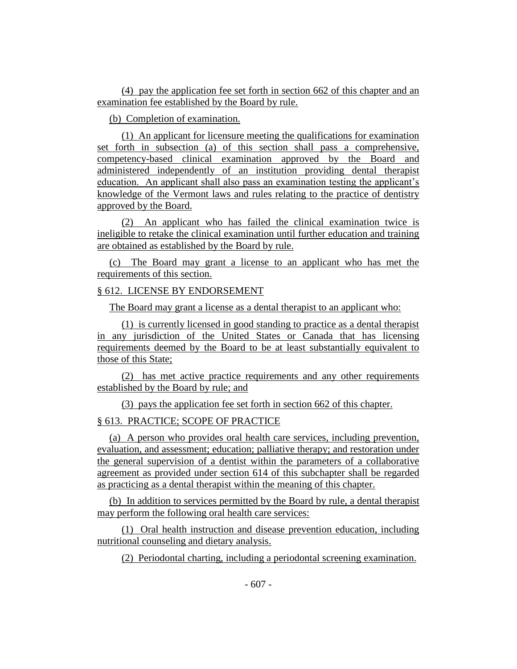(4) pay the application fee set forth in section 662 of this chapter and an examination fee established by the Board by rule.

(b) Completion of examination.

(1) An applicant for licensure meeting the qualifications for examination set forth in subsection (a) of this section shall pass a comprehensive, competency-based clinical examination approved by the Board and administered independently of an institution providing dental therapist education. An applicant shall also pass an examination testing the applicant's knowledge of the Vermont laws and rules relating to the practice of dentistry approved by the Board.

(2) An applicant who has failed the clinical examination twice is ineligible to retake the clinical examination until further education and training are obtained as established by the Board by rule.

(c) The Board may grant a license to an applicant who has met the requirements of this section.

# § 612. LICENSE BY ENDORSEMENT

The Board may grant a license as a dental therapist to an applicant who:

(1) is currently licensed in good standing to practice as a dental therapist in any jurisdiction of the United States or Canada that has licensing requirements deemed by the Board to be at least substantially equivalent to those of this State;

(2) has met active practice requirements and any other requirements established by the Board by rule; and

(3) pays the application fee set forth in section 662 of this chapter.

# § 613. PRACTICE; SCOPE OF PRACTICE

(a) A person who provides oral health care services, including prevention, evaluation, and assessment; education; palliative therapy; and restoration under the general supervision of a dentist within the parameters of a collaborative agreement as provided under section 614 of this subchapter shall be regarded as practicing as a dental therapist within the meaning of this chapter.

(b) In addition to services permitted by the Board by rule, a dental therapist may perform the following oral health care services:

(1) Oral health instruction and disease prevention education, including nutritional counseling and dietary analysis.

(2) Periodontal charting, including a periodontal screening examination.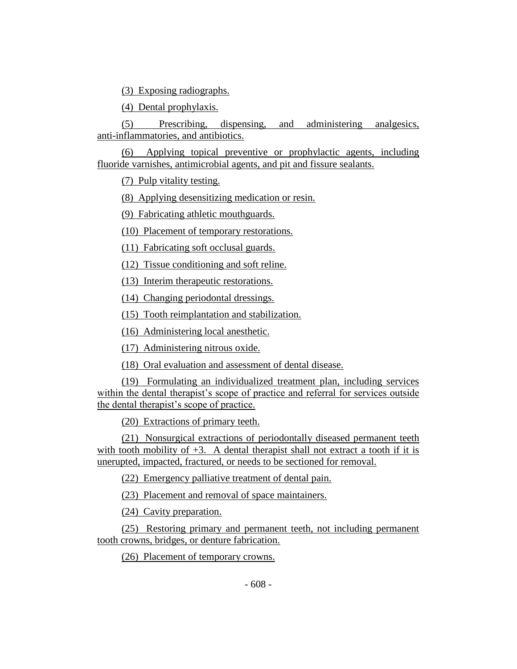(3) Exposing radiographs.

(4) Dental prophylaxis.

(5) Prescribing, dispensing, and administering analgesics, anti-inflammatories, and antibiotics.

(6) Applying topical preventive or prophylactic agents, including fluoride varnishes, antimicrobial agents, and pit and fissure sealants.

(7) Pulp vitality testing.

(8) Applying desensitizing medication or resin.

(9) Fabricating athletic mouthguards.

(10) Placement of temporary restorations.

(11) Fabricating soft occlusal guards.

(12) Tissue conditioning and soft reline.

(13) Interim therapeutic restorations.

(14) Changing periodontal dressings.

(15) Tooth reimplantation and stabilization.

(16) Administering local anesthetic.

(17) Administering nitrous oxide.

(18) Oral evaluation and assessment of dental disease.

(19) Formulating an individualized treatment plan, including services within the dental therapist's scope of practice and referral for services outside the dental therapist's scope of practice.

(20) Extractions of primary teeth.

(21) Nonsurgical extractions of periodontally diseased permanent teeth with tooth mobility of  $+3$ . A dental therapist shall not extract a tooth if it is unerupted, impacted, fractured, or needs to be sectioned for removal.

(22) Emergency palliative treatment of dental pain.

(23) Placement and removal of space maintainers.

(24) Cavity preparation.

(25) Restoring primary and permanent teeth, not including permanent tooth crowns, bridges, or denture fabrication.

(26) Placement of temporary crowns.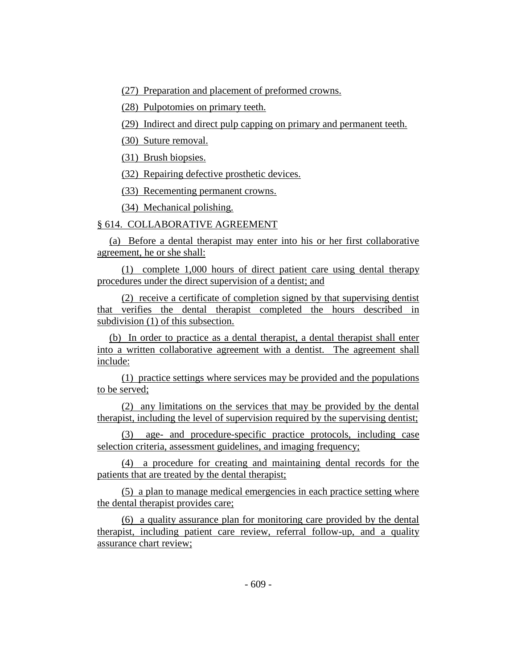(27) Preparation and placement of preformed crowns.

(28) Pulpotomies on primary teeth.

(29) Indirect and direct pulp capping on primary and permanent teeth.

(30) Suture removal.

(31) Brush biopsies.

(32) Repairing defective prosthetic devices.

(33) Recementing permanent crowns.

(34) Mechanical polishing.

# § 614. COLLABORATIVE AGREEMENT

(a) Before a dental therapist may enter into his or her first collaborative agreement, he or she shall:

(1) complete 1,000 hours of direct patient care using dental therapy procedures under the direct supervision of a dentist; and

(2) receive a certificate of completion signed by that supervising dentist that verifies the dental therapist completed the hours described in subdivision (1) of this subsection.

(b) In order to practice as a dental therapist, a dental therapist shall enter into a written collaborative agreement with a dentist. The agreement shall include:

(1) practice settings where services may be provided and the populations to be served;

(2) any limitations on the services that may be provided by the dental therapist, including the level of supervision required by the supervising dentist;

(3) age- and procedure-specific practice protocols, including case selection criteria, assessment guidelines, and imaging frequency;

(4) a procedure for creating and maintaining dental records for the patients that are treated by the dental therapist;

(5) a plan to manage medical emergencies in each practice setting where the dental therapist provides care;

(6) a quality assurance plan for monitoring care provided by the dental therapist, including patient care review, referral follow-up, and a quality assurance chart review;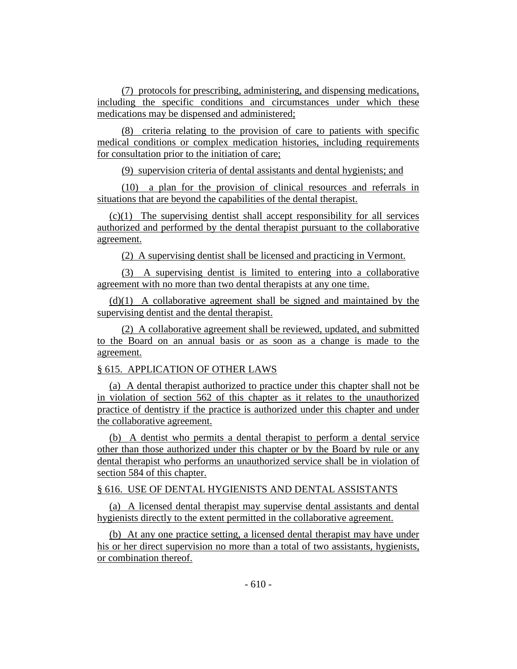(7) protocols for prescribing, administering, and dispensing medications, including the specific conditions and circumstances under which these medications may be dispensed and administered;

(8) criteria relating to the provision of care to patients with specific medical conditions or complex medication histories, including requirements for consultation prior to the initiation of care;

(9) supervision criteria of dental assistants and dental hygienists; and

(10) a plan for the provision of clinical resources and referrals in situations that are beyond the capabilities of the dental therapist.

(c)(1) The supervising dentist shall accept responsibility for all services authorized and performed by the dental therapist pursuant to the collaborative agreement.

(2) A supervising dentist shall be licensed and practicing in Vermont.

(3) A supervising dentist is limited to entering into a collaborative agreement with no more than two dental therapists at any one time.

(d)(1) A collaborative agreement shall be signed and maintained by the supervising dentist and the dental therapist.

(2) A collaborative agreement shall be reviewed, updated, and submitted to the Board on an annual basis or as soon as a change is made to the agreement.

# § 615. APPLICATION OF OTHER LAWS

(a) A dental therapist authorized to practice under this chapter shall not be in violation of section 562 of this chapter as it relates to the unauthorized practice of dentistry if the practice is authorized under this chapter and under the collaborative agreement.

(b) A dentist who permits a dental therapist to perform a dental service other than those authorized under this chapter or by the Board by rule or any dental therapist who performs an unauthorized service shall be in violation of section 584 of this chapter.

## § 616. USE OF DENTAL HYGIENISTS AND DENTAL ASSISTANTS

(a) A licensed dental therapist may supervise dental assistants and dental hygienists directly to the extent permitted in the collaborative agreement.

(b) At any one practice setting, a licensed dental therapist may have under his or her direct supervision no more than a total of two assistants, hygienists, or combination thereof.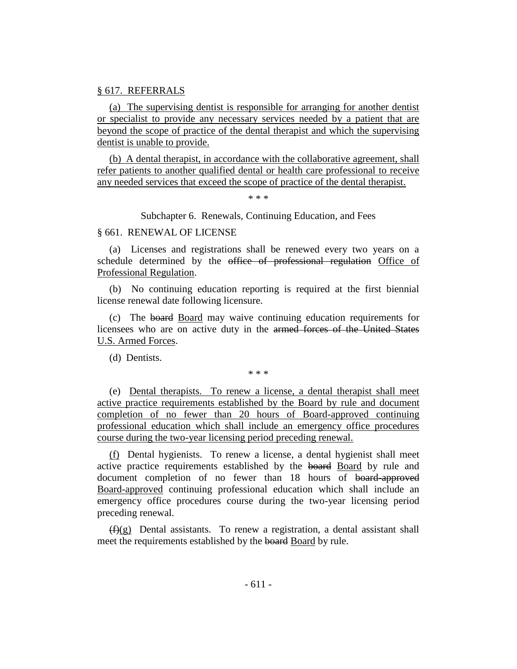#### § 617. REFERRALS

(a) The supervising dentist is responsible for arranging for another dentist or specialist to provide any necessary services needed by a patient that are beyond the scope of practice of the dental therapist and which the supervising dentist is unable to provide.

(b) A dental therapist, in accordance with the collaborative agreement, shall refer patients to another qualified dental or health care professional to receive any needed services that exceed the scope of practice of the dental therapist.

\* \* \*

Subchapter 6. Renewals, Continuing Education, and Fees

## § 661. RENEWAL OF LICENSE

(a) Licenses and registrations shall be renewed every two years on a schedule determined by the office of professional regulation Office of Professional Regulation.

(b) No continuing education reporting is required at the first biennial license renewal date following licensure.

(c) The board Board may waive continuing education requirements for licensees who are on active duty in the armed forces of the United States U.S. Armed Forces.

(d) Dentists.

\* \* \*

(e) Dental therapists. To renew a license, a dental therapist shall meet active practice requirements established by the Board by rule and document completion of no fewer than 20 hours of Board-approved continuing professional education which shall include an emergency office procedures course during the two-year licensing period preceding renewal.

(f) Dental hygienists. To renew a license, a dental hygienist shall meet active practice requirements established by the board Board by rule and document completion of no fewer than 18 hours of board-approved Board-approved continuing professional education which shall include an emergency office procedures course during the two-year licensing period preceding renewal.

 $(f)(g)$  Dental assistants. To renew a registration, a dental assistant shall meet the requirements established by the board Board by rule.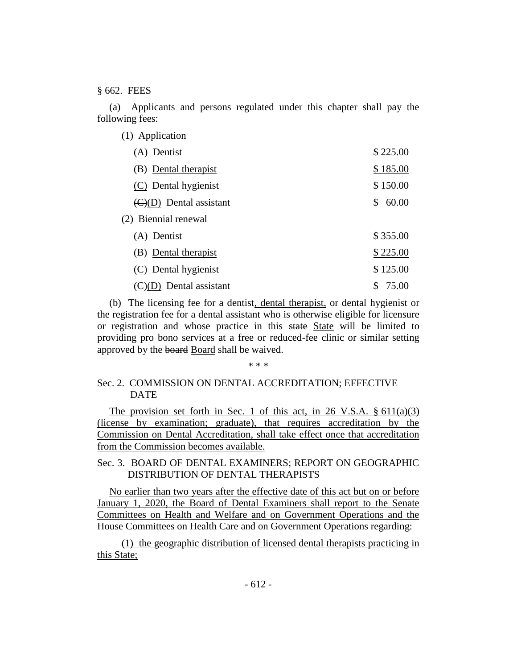§ 662. FEES

(a) Applicants and persons regulated under this chapter shall pay the following fees:

| (1) Application                             |             |
|---------------------------------------------|-------------|
| (A) Dentist                                 | \$225.00    |
| (B) Dental therapist                        | \$185.00    |
| (C) Dental hygienist                        | \$150.00    |
| $\left(\frac{C}{D}\right)$ Dental assistant | 60.00<br>\$ |
| (2) Biennial renewal                        |             |
| (A) Dentist                                 | \$355.00    |
| (B) Dental therapist                        | \$225.00    |
| (C) Dental hygienist                        | \$125.00    |
| $\left(\frac{C}{C}\right)$ Dental assistant | 75.00<br>\$ |

(b) The licensing fee for a dentist, dental therapist, or dental hygienist or the registration fee for a dental assistant who is otherwise eligible for licensure or registration and whose practice in this state State will be limited to providing pro bono services at a free or reduced-fee clinic or similar setting approved by the board Board shall be waived.

#### \* \* \*

# Sec. 2. COMMISSION ON DENTAL ACCREDITATION; EFFECTIVE DATE

The provision set forth in Sec. 1 of this act, in 26 V.S.A.  $\S 611(a)(3)$ (license by examination; graduate), that requires accreditation by the Commission on Dental Accreditation, shall take effect once that accreditation from the Commission becomes available.

Sec. 3. BOARD OF DENTAL EXAMINERS; REPORT ON GEOGRAPHIC DISTRIBUTION OF DENTAL THERAPISTS

No earlier than two years after the effective date of this act but on or before January 1, 2020, the Board of Dental Examiners shall report to the Senate Committees on Health and Welfare and on Government Operations and the House Committees on Health Care and on Government Operations regarding:

(1) the geographic distribution of licensed dental therapists practicing in this State;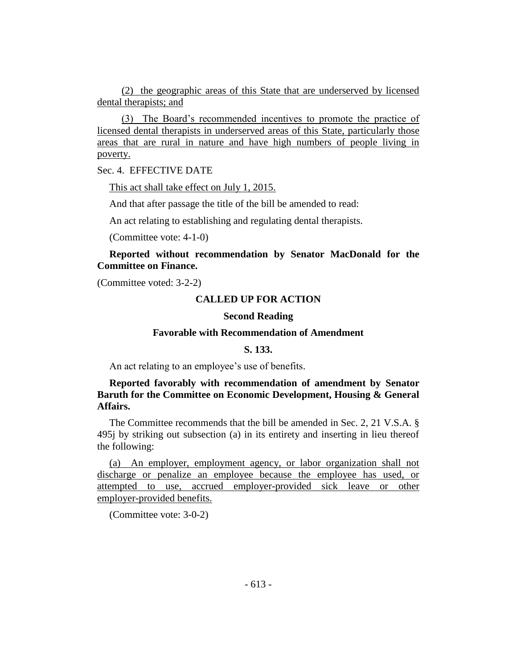(2) the geographic areas of this State that are underserved by licensed dental therapists; and

(3) The Board's recommended incentives to promote the practice of licensed dental therapists in underserved areas of this State, particularly those areas that are rural in nature and have high numbers of people living in poverty.

Sec. 4. EFFECTIVE DATE

This act shall take effect on July 1, 2015.

And that after passage the title of the bill be amended to read:

An act relating to establishing and regulating dental therapists.

(Committee vote: 4-1-0)

## **Reported without recommendation by Senator MacDonald for the Committee on Finance.**

(Committee voted: 3-2-2)

## **CALLED UP FOR ACTION**

# **Second Reading**

## **Favorable with Recommendation of Amendment**

#### **S. 133.**

An act relating to an employee's use of benefits.

# **Reported favorably with recommendation of amendment by Senator Baruth for the Committee on Economic Development, Housing & General Affairs.**

The Committee recommends that the bill be amended in Sec. 2, 21 V.S.A. § 495j by striking out subsection (a) in its entirety and inserting in lieu thereof the following:

(a) An employer, employment agency, or labor organization shall not discharge or penalize an employee because the employee has used, or attempted to use, accrued employer-provided sick leave or other employer-provided benefits.

(Committee vote: 3-0-2)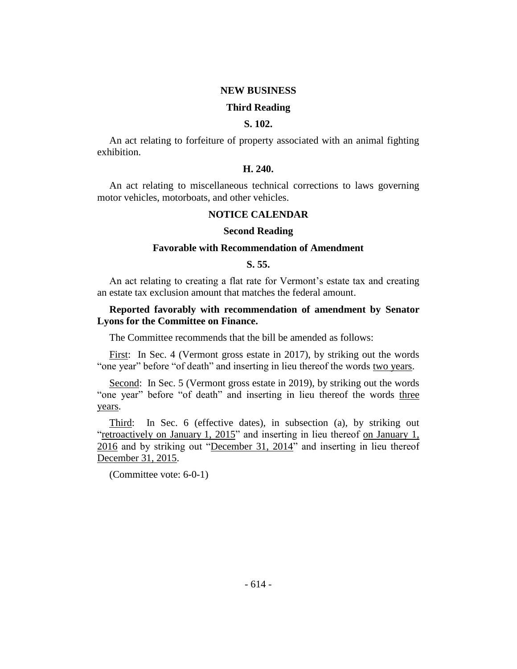#### **NEW BUSINESS**

#### **Third Reading**

## **S. 102.**

An act relating to forfeiture of property associated with an animal fighting exhibition.

## **H. 240.**

An act relating to miscellaneous technical corrections to laws governing motor vehicles, motorboats, and other vehicles.

# **NOTICE CALENDAR**

#### **Second Reading**

#### **Favorable with Recommendation of Amendment**

## **S. 55.**

An act relating to creating a flat rate for Vermont's estate tax and creating an estate tax exclusion amount that matches the federal amount.

## **Reported favorably with recommendation of amendment by Senator Lyons for the Committee on Finance.**

The Committee recommends that the bill be amended as follows:

First: In Sec. 4 (Vermont gross estate in 2017), by striking out the words "one year" before "of death" and inserting in lieu thereof the words two years.

Second: In Sec. 5 (Vermont gross estate in 2019), by striking out the words "one year" before "of death" and inserting in lieu thereof the words three years.

Third: In Sec. 6 (effective dates), in subsection (a), by striking out "retroactively on January 1, 2015" and inserting in lieu thereof on January 1, 2016 and by striking out "December 31, 2014" and inserting in lieu thereof December 31, 2015.

(Committee vote: 6-0-1)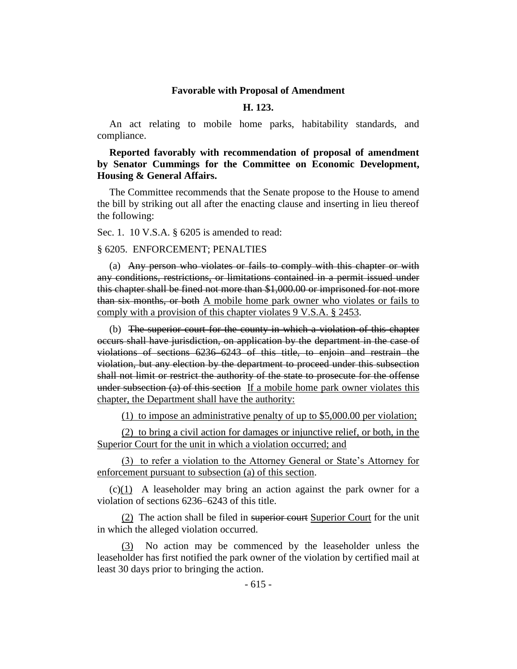#### **Favorable with Proposal of Amendment**

## **H. 123.**

An act relating to mobile home parks, habitability standards, and compliance.

**Reported favorably with recommendation of proposal of amendment by Senator Cummings for the Committee on Economic Development, Housing & General Affairs.**

The Committee recommends that the Senate propose to the House to amend the bill by striking out all after the enacting clause and inserting in lieu thereof the following:

Sec. 1. 10 V.S.A. § 6205 is amended to read:

§ 6205. ENFORCEMENT; PENALTIES

(a) Any person who violates or fails to comply with this chapter or with any conditions, restrictions, or limitations contained in a permit issued under this chapter shall be fined not more than \$1,000.00 or imprisoned for not more than six months, or both A mobile home park owner who violates or fails to comply with a provision of this chapter violates 9 V.S.A. § 2453.

(b) The superior court for the county in which a violation of this chapter occurs shall have jurisdiction, on application by the department in the case of violations of sections 6236–6243 of this title, to enjoin and restrain the violation, but any election by the department to proceed under this subsection shall not limit or restrict the authority of the state to prosecute for the offense under subsection (a) of this section If a mobile home park owner violates this chapter, the Department shall have the authority:

(1) to impose an administrative penalty of up to \$5,000.00 per violation;

(2) to bring a civil action for damages or injunctive relief, or both, in the Superior Court for the unit in which a violation occurred; and

(3) to refer a violation to the Attorney General or State's Attorney for enforcement pursuant to subsection (a) of this section.

(c)(1) A leaseholder may bring an action against the park owner for a violation of sections 6236–6243 of this title.

(2) The action shall be filed in superior court Superior Court for the unit in which the alleged violation occurred.

(3) No action may be commenced by the leaseholder unless the leaseholder has first notified the park owner of the violation by certified mail at least 30 days prior to bringing the action.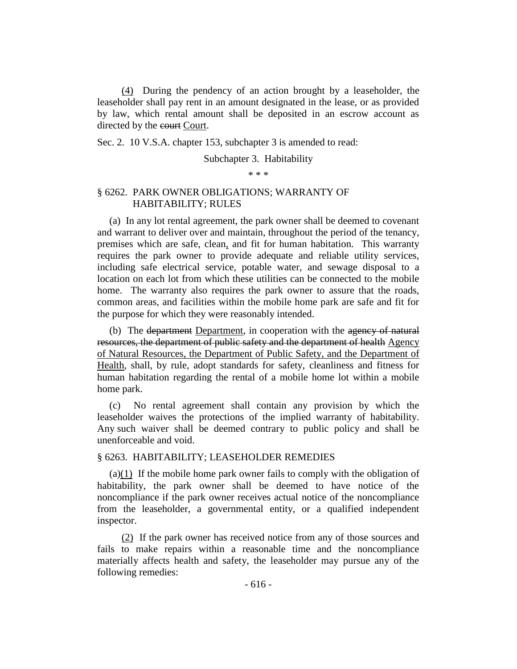(4) During the pendency of an action brought by a leaseholder, the leaseholder shall pay rent in an amount designated in the lease, or as provided by law, which rental amount shall be deposited in an escrow account as directed by the court Court.

Sec. 2. 10 V.S.A. chapter 153, subchapter 3 is amended to read:

## Subchapter 3. Habitability

\* \* \*

# § 6262. PARK OWNER OBLIGATIONS; WARRANTY OF HABITABILITY; RULES

(a) In any lot rental agreement, the park owner shall be deemed to covenant and warrant to deliver over and maintain, throughout the period of the tenancy, premises which are safe, clean, and fit for human habitation. This warranty requires the park owner to provide adequate and reliable utility services, including safe electrical service, potable water, and sewage disposal to a location on each lot from which these utilities can be connected to the mobile home. The warranty also requires the park owner to assure that the roads, common areas, and facilities within the mobile home park are safe and fit for the purpose for which they were reasonably intended.

(b) The <del>department</del> Department, in cooperation with the agency of natural resources, the department of public safety and the department of health Agency of Natural Resources, the Department of Public Safety, and the Department of Health, shall, by rule, adopt standards for safety, cleanliness and fitness for human habitation regarding the rental of a mobile home lot within a mobile home park.

(c) No rental agreement shall contain any provision by which the leaseholder waives the protections of the implied warranty of habitability. Any such waiver shall be deemed contrary to public policy and shall be unenforceable and void.

## § 6263. HABITABILITY; LEASEHOLDER REMEDIES

(a)(1) If the mobile home park owner fails to comply with the obligation of habitability, the park owner shall be deemed to have notice of the noncompliance if the park owner receives actual notice of the noncompliance from the leaseholder, a governmental entity, or a qualified independent inspector.

(2) If the park owner has received notice from any of those sources and fails to make repairs within a reasonable time and the noncompliance materially affects health and safety, the leaseholder may pursue any of the following remedies: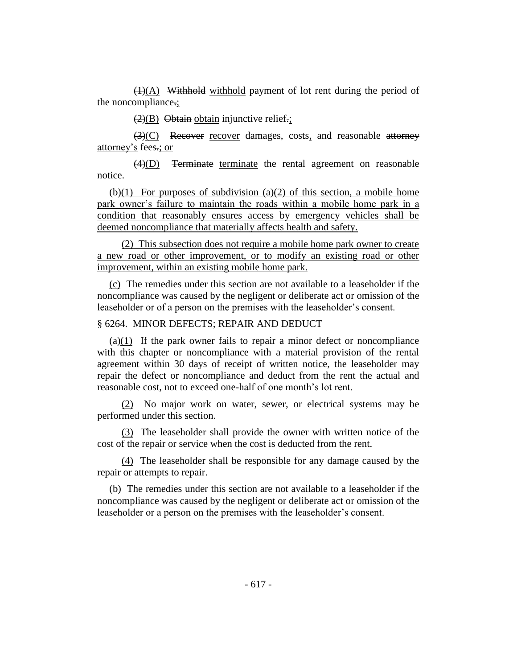(1)(A) Withhold withhold payment of lot rent during the period of the noncompliance.;

 $(2)(B)$  Obtain obtain injunctive relief.;

(3)(C) Recover recover damages, costs, and reasonable attorney attorney's fees.; or

 $\overline{(4)(D)}$  Terminate terminate the rental agreement on reasonable notice.

(b) $(1)$  For purposes of subdivision  $(a)(2)$  of this section, a mobile home park owner's failure to maintain the roads within a mobile home park in a condition that reasonably ensures access by emergency vehicles shall be deemed noncompliance that materially affects health and safety.

(2) This subsection does not require a mobile home park owner to create a new road or other improvement, or to modify an existing road or other improvement, within an existing mobile home park.

(c) The remedies under this section are not available to a leaseholder if the noncompliance was caused by the negligent or deliberate act or omission of the leaseholder or of a person on the premises with the leaseholder's consent.

#### § 6264. MINOR DEFECTS; REPAIR AND DEDUCT

(a)(1) If the park owner fails to repair a minor defect or noncompliance with this chapter or noncompliance with a material provision of the rental agreement within 30 days of receipt of written notice, the leaseholder may repair the defect or noncompliance and deduct from the rent the actual and reasonable cost, not to exceed one-half of one month's lot rent.

(2) No major work on water, sewer, or electrical systems may be performed under this section.

(3) The leaseholder shall provide the owner with written notice of the cost of the repair or service when the cost is deducted from the rent.

(4) The leaseholder shall be responsible for any damage caused by the repair or attempts to repair.

(b) The remedies under this section are not available to a leaseholder if the noncompliance was caused by the negligent or deliberate act or omission of the leaseholder or a person on the premises with the leaseholder's consent.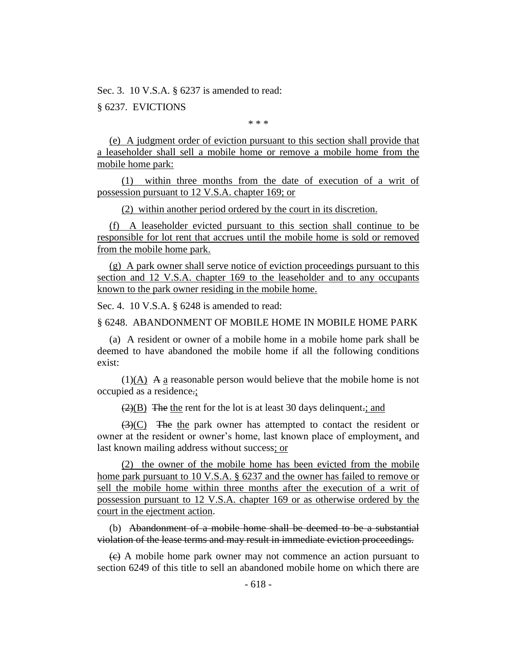Sec. 3. 10 V.S.A. § 6237 is amended to read:

§ 6237. EVICTIONS

\* \* \*

(e) A judgment order of eviction pursuant to this section shall provide that a leaseholder shall sell a mobile home or remove a mobile home from the mobile home park:

(1) within three months from the date of execution of a writ of possession pursuant to 12 V.S.A. chapter 169; or

(2) within another period ordered by the court in its discretion.

(f) A leaseholder evicted pursuant to this section shall continue to be responsible for lot rent that accrues until the mobile home is sold or removed from the mobile home park.

(g) A park owner shall serve notice of eviction proceedings pursuant to this section and 12 V.S.A. chapter 169 to the leaseholder and to any occupants known to the park owner residing in the mobile home.

Sec. 4. 10 V.S.A. § 6248 is amended to read:

§ 6248. ABANDONMENT OF MOBILE HOME IN MOBILE HOME PARK

(a) A resident or owner of a mobile home in a mobile home park shall be deemed to have abandoned the mobile home if all the following conditions exist:

 $(1)(A)$  A a reasonable person would believe that the mobile home is not occupied as a residence.;

 $\left(\frac{2}{B}\right)$  The the rent for the lot is at least 30 days delinquent.; and

 $\left(\frac{3}{2}\right)$  The the park owner has attempted to contact the resident or owner at the resident or owner's home, last known place of employment, and last known mailing address without success; or

(2) the owner of the mobile home has been evicted from the mobile home park pursuant to 10 V.S.A. § 6237 and the owner has failed to remove or sell the mobile home within three months after the execution of a writ of possession pursuant to 12 V.S.A. chapter 169 or as otherwise ordered by the court in the ejectment action.

(b) Abandonment of a mobile home shall be deemed to be a substantial violation of the lease terms and may result in immediate eviction proceedings.

 $\overline{(e)}$  A mobile home park owner may not commence an action pursuant to section 6249 of this title to sell an abandoned mobile home on which there are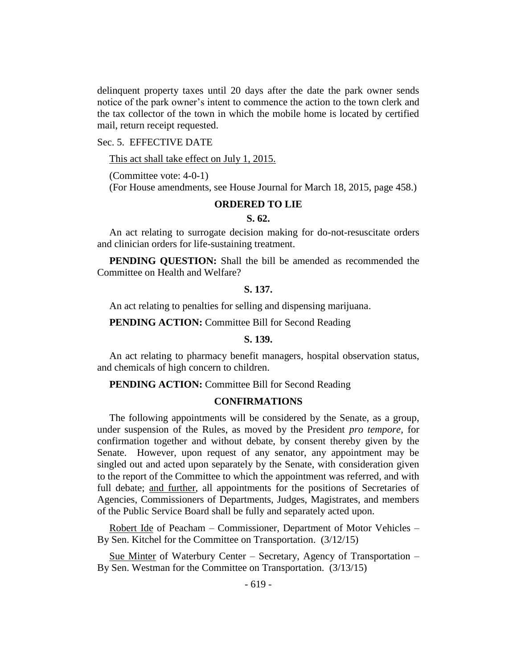delinquent property taxes until 20 days after the date the park owner sends notice of the park owner's intent to commence the action to the town clerk and the tax collector of the town in which the mobile home is located by certified mail, return receipt requested.

## Sec. 5. EFFECTIVE DATE

This act shall take effect on July 1, 2015.

(Committee vote: 4-0-1)

(For House amendments, see House Journal for March 18, 2015, page 458.)

# **ORDERED TO LIE**

## **S. 62.**

An act relating to surrogate decision making for do-not-resuscitate orders and clinician orders for life-sustaining treatment.

**PENDING QUESTION:** Shall the bill be amended as recommended the Committee on Health and Welfare?

## **S. 137.**

An act relating to penalties for selling and dispensing marijuana.

**PENDING ACTION:** Committee Bill for Second Reading

## **S. 139.**

An act relating to pharmacy benefit managers, hospital observation status, and chemicals of high concern to children.

**PENDING ACTION:** Committee Bill for Second Reading

#### **CONFIRMATIONS**

The following appointments will be considered by the Senate, as a group, under suspension of the Rules, as moved by the President *pro tempore,* for confirmation together and without debate, by consent thereby given by the Senate. However, upon request of any senator, any appointment may be singled out and acted upon separately by the Senate, with consideration given to the report of the Committee to which the appointment was referred, and with full debate; and further, all appointments for the positions of Secretaries of Agencies, Commissioners of Departments, Judges, Magistrates, and members of the Public Service Board shall be fully and separately acted upon.

Robert Ide of Peacham – Commissioner, Department of Motor Vehicles – By Sen. Kitchel for the Committee on Transportation. (3/12/15)

Sue Minter of Waterbury Center – Secretary, Agency of Transportation – By Sen. Westman for the Committee on Transportation. (3/13/15)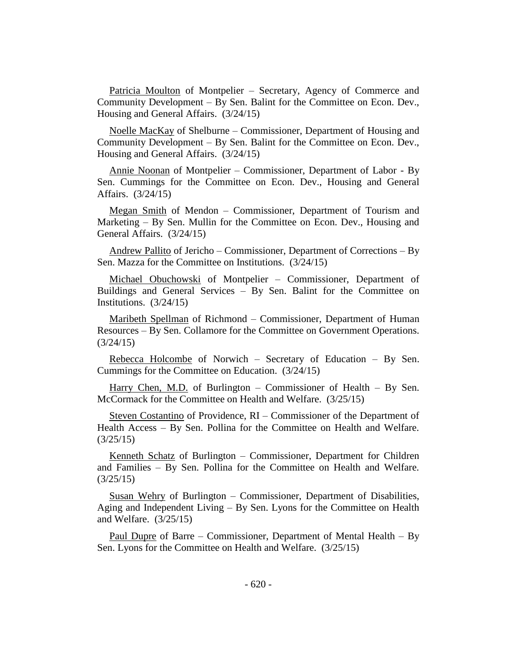Patricia Moulton of Montpelier – Secretary, Agency of Commerce and Community Development – By Sen. Balint for the Committee on Econ. Dev., Housing and General Affairs. (3/24/15)

Noelle MacKay of Shelburne – Commissioner, Department of Housing and Community Development – By Sen. Balint for the Committee on Econ. Dev., Housing and General Affairs. (3/24/15)

Annie Noonan of Montpelier – Commissioner, Department of Labor - By Sen. Cummings for the Committee on Econ. Dev., Housing and General Affairs. (3/24/15)

Megan Smith of Mendon – Commissioner, Department of Tourism and Marketing – By Sen. Mullin for the Committee on Econ. Dev., Housing and General Affairs. (3/24/15)

Andrew Pallito of Jericho – Commissioner, Department of Corrections – By Sen. Mazza for the Committee on Institutions. (3/24/15)

Michael Obuchowski of Montpelier – Commissioner, Department of Buildings and General Services – By Sen. Balint for the Committee on Institutions. (3/24/15)

Maribeth Spellman of Richmond – Commissioner, Department of Human Resources – By Sen. Collamore for the Committee on Government Operations. (3/24/15)

Rebecca Holcombe of Norwich – Secretary of Education – By Sen. Cummings for the Committee on Education. (3/24/15)

Harry Chen, M.D. of Burlington – Commissioner of Health – By Sen. McCormack for the Committee on Health and Welfare. (3/25/15)

Steven Costantino of Providence, RI – Commissioner of the Department of Health Access – By Sen. Pollina for the Committee on Health and Welfare. (3/25/15)

Kenneth Schatz of Burlington – Commissioner, Department for Children and Families – By Sen. Pollina for the Committee on Health and Welfare. (3/25/15)

Susan Wehry of Burlington – Commissioner, Department of Disabilities, Aging and Independent Living – By Sen. Lyons for the Committee on Health and Welfare. (3/25/15)

Paul Dupre of Barre – Commissioner, Department of Mental Health – By Sen. Lyons for the Committee on Health and Welfare. (3/25/15)